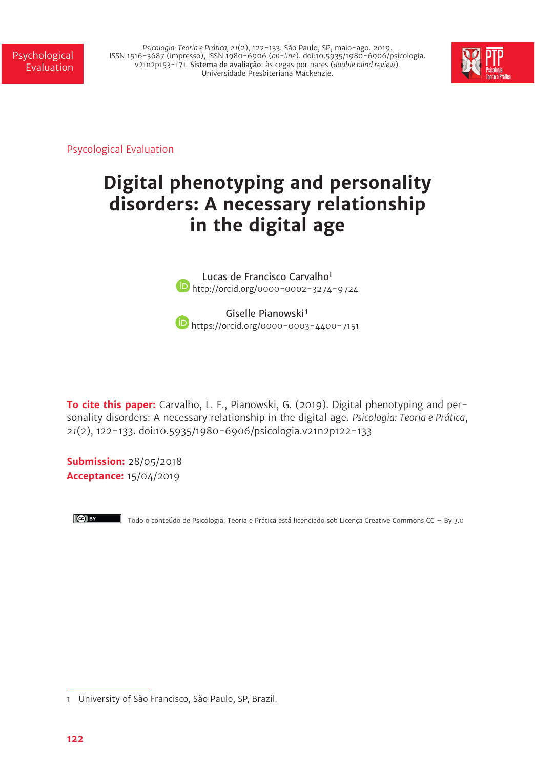*Psicologia: Teoria e Prática, 21*(2), 122-133. São Paulo, SP, maio-ago. 2019. ISSN 1516-3687 (impresso), ISSN 1980-6906 (*on-line*). doi:10.5935/1980-6906/psicologia. v21n2p153-171. Sistema de avaliação: às cegas por pares (*double blind review*). Universidade Presbiteriana Mackenzie.



Psycological Evaluation

# **Digital phenotyping and personality disorders: A necessary relationship in the digital age**

Lucas de Francisco Carvalho<sup>1</sup> **b** http://orcid.org/0000-0002-3274-9724

Giselle Pianowski<sup>1</sup> https://orcid.org/0000-0003-4400-7151

**To cite this paper:** Carvalho, L. F., Pianowski, G. (2019). Digital phenotyping and personality disorders: A necessary relationship in the digital age. *Psicologia: Teoria e Prática*, *21*(2), 122-133. doi:10.5935/1980-6906/psicologia.v21n2p122-133

**Submission:** 28/05/2018 **Acceptance:** 15/04/2019



Todo o conteúdo de Psicologia: Teoria e Prática está licenciado sob Licença Creative Commons CC – By 3.0

<sup>1</sup> University of São Francisco, São Paulo, SP, Brazil.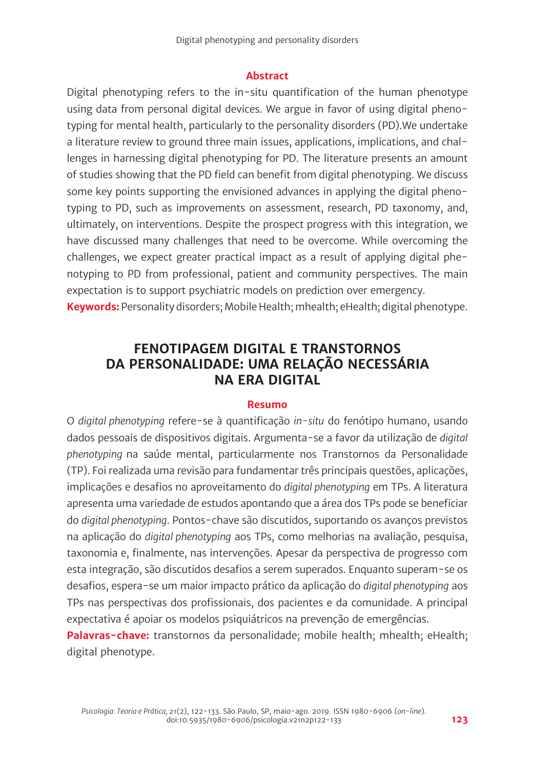#### **Abstract**

Digital phenotyping refers to the in-situ quantification of the human phenotype using data from personal digital devices. We argue in favor of using digital phenotyping for mental health, particularly to the personality disorders (PD).We undertake a literature review to ground three main issues, applications, implications, and challenges in harnessing digital phenotyping for PD. The literature presents an amount of studies showing that the PD field can benefit from digital phenotyping. We discuss some key points supporting the envisioned advances in applying the digital phenotyping to PD, such as improvements on assessment, research, PD taxonomy, and, ultimately, on interventions. Despite the prospect progress with this integration, we have discussed many challenges that need to be overcome. While overcoming the challenges, we expect greater practical impact as a result of applying digital phenotyping to PD from professional, patient and community perspectives. The main expectation is to support psychiatric models on prediction over emergency. **Keywords:** Personality disorders; Mobile Health; mhealth; eHealth; digital phenotype.

## **FENOTIPAGEM DIGITAL E TRANSTORNOS DA PERSONALIDADE: UMA RELAÇÃO NECESSÁRIA NA ERA DIGITAL**

#### **Resumo**

O *digital phenotyping* refere-se à quantificação *in-situ* do fenótipo humano, usando dados pessoais de dispositivos digitais. Argumenta-se a favor da utilização de *digital phenotyping* na saúde mental, particularmente nos Transtornos da Personalidade (TP). Foi realizada uma revisão para fundamentar três principais questões, aplicações, implicações e desafios no aproveitamento do *digital phenotyping* em TPs. A literatura apresenta uma variedade de estudos apontando que a área dos TPs pode se beneficiar do *digital phenotyping*. Pontos-chave são discutidos, suportando os avanços previstos na aplicação do *digital phenotyping* aos TPs, como melhorias na avaliação, pesquisa, taxonomia e, finalmente, nas intervenções. Apesar da perspectiva de progresso com esta integração, são discutidos desafios a serem superados. Enquanto superam-se os desafios, espera-se um maior impacto prático da aplicação do *digital phenotyping* aos TPs nas perspectivas dos profissionais, dos pacientes e da comunidade. A principal expectativa é apoiar os modelos psiquiátricos na prevenção de emergências.

Palavras-chave: transtornos da personalidade; mobile health; mhealth; eHealth; digital phenotype.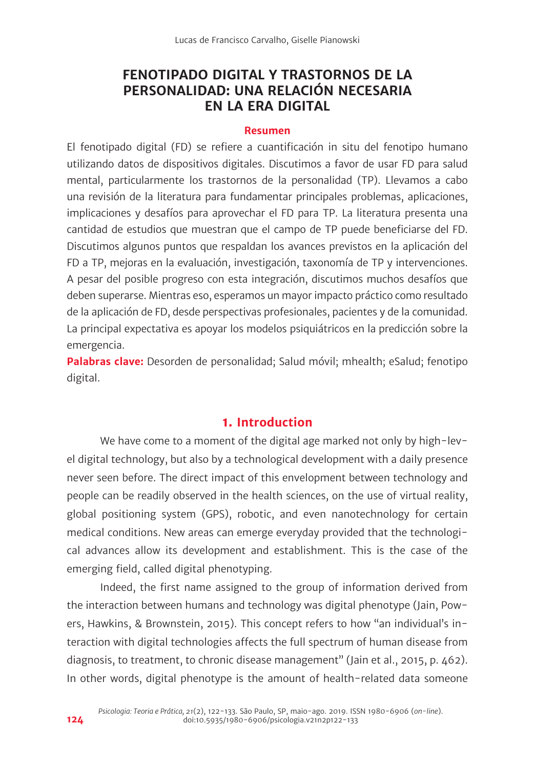# **FENOTIPADO DIGITAL Y TRASTORNOS DE LA PERSONALIDAD: UNA RELACIÓN NECESARIA EN LA ERA DIGITAL**

#### **Resumen**

El fenotipado digital (FD) se refiere a cuantificación in situ del fenotipo humano utilizando datos de dispositivos digitales. Discutimos a favor de usar FD para salud mental, particularmente los trastornos de la personalidad (TP). Llevamos a cabo una revisión de la literatura para fundamentar principales problemas, aplicaciones, implicaciones y desafíos para aprovechar el FD para TP. La literatura presenta una cantidad de estudios que muestran que el campo de TP puede beneficiarse del FD. Discutimos algunos puntos que respaldan los avances previstos en la aplicación del FD a TP, mejoras en la evaluación, investigación, taxonomía de TP y intervenciones. A pesar del posible progreso con esta integración, discutimos muchos desafíos que deben superarse. Mientras eso, esperamos un mayor impacto práctico como resultado de la aplicación de FD, desde perspectivas profesionales, pacientes y de la comunidad. La principal expectativa es apoyar los modelos psiquiátricos en la predicción sobre la emergencia.

Palabras clave: Desorden de personalidad; Salud móvil; mhealth; eSalud; fenotipo digital.

## **1. Introduction**

We have come to a moment of the digital age marked not only by high-level digital technology, but also by a technological development with a daily presence never seen before. The direct impact of this envelopment between technology and people can be readily observed in the health sciences, on the use of virtual reality, global positioning system (GPS), robotic, and even nanotechnology for certain medical conditions. New areas can emerge everyday provided that the technological advances allow its development and establishment. This is the case of the emerging field, called digital phenotyping.

Indeed, the first name assigned to the group of information derived from the interaction between humans and technology was digital phenotype (Jain, Powers, Hawkins, & Brownstein, 2015). This concept refers to how "an individual's interaction with digital technologies affects the full spectrum of human disease from diagnosis, to treatment, to chronic disease management" (Jain et al., 2015, p. 462). In other words, digital phenotype is the amount of health-related data someone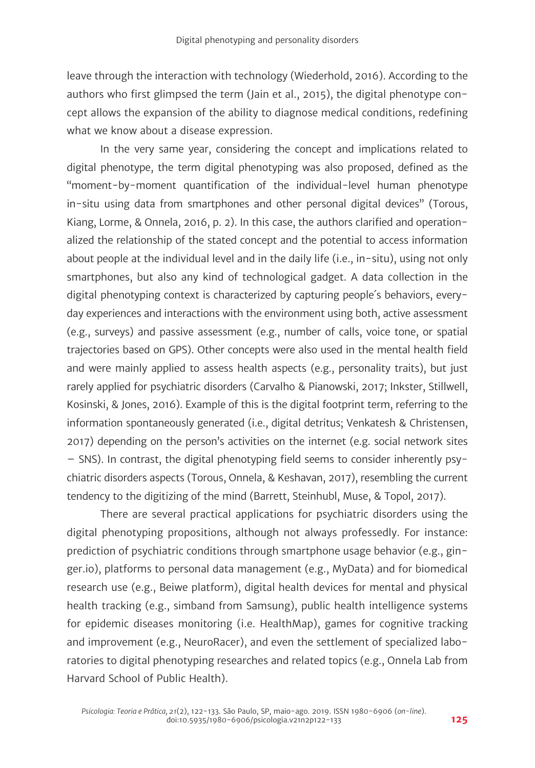leave through the interaction with technology (Wiederhold, 2016). According to the authors who first glimpsed the term (Jain et al., 2015), the digital phenotype concept allows the expansion of the ability to diagnose medical conditions, redefining what we know about a disease expression.

In the very same year, considering the concept and implications related to digital phenotype, the term digital phenotyping was also proposed, defined as the "moment-by-moment quantification of the individual-level human phenotype in-situ using data from smartphones and other personal digital devices" (Torous, Kiang, Lorme, & Onnela, 2016, p. 2). In this case, the authors clarified and operationalized the relationship of the stated concept and the potential to access information about people at the individual level and in the daily life (i.e., in-situ), using not only smartphones, but also any kind of technological gadget. A data collection in the digital phenotyping context is characterized by capturing people´s behaviors, everyday experiences and interactions with the environment using both, active assessment (e.g., surveys) and passive assessment (e.g., number of calls, voice tone, or spatial trajectories based on GPS). Other concepts were also used in the mental health field and were mainly applied to assess health aspects (e.g., personality traits), but just rarely applied for psychiatric disorders (Carvalho & Pianowski, 2017; Inkster, Stillwell, Kosinski, & Jones, 2016). Example of this is the digital footprint term, referring to the information spontaneously generated (i.e., digital detritus; Venkatesh & Christensen, 2017) depending on the person's activities on the internet (e.g. social network sites – SNS). In contrast, the digital phenotyping field seems to consider inherently psychiatric disorders aspects (Torous, Onnela, & Keshavan, 2017), resembling the current tendency to the digitizing of the mind (Barrett, Steinhubl, Muse, & Topol, 2017).

There are several practical applications for psychiatric disorders using the digital phenotyping propositions, although not always professedly. For instance: prediction of psychiatric conditions through smartphone usage behavior (e.g., ginger.io), platforms to personal data management (e.g., MyData) and for biomedical research use (e.g., Beiwe platform), digital health devices for mental and physical health tracking (e.g., simband from Samsung), public health intelligence systems for epidemic diseases monitoring (i.e. HealthMap), games for cognitive tracking and improvement (e.g., NeuroRacer), and even the settlement of specialized laboratories to digital phenotyping researches and related topics (e.g., Onnela Lab from Harvard School of Public Health).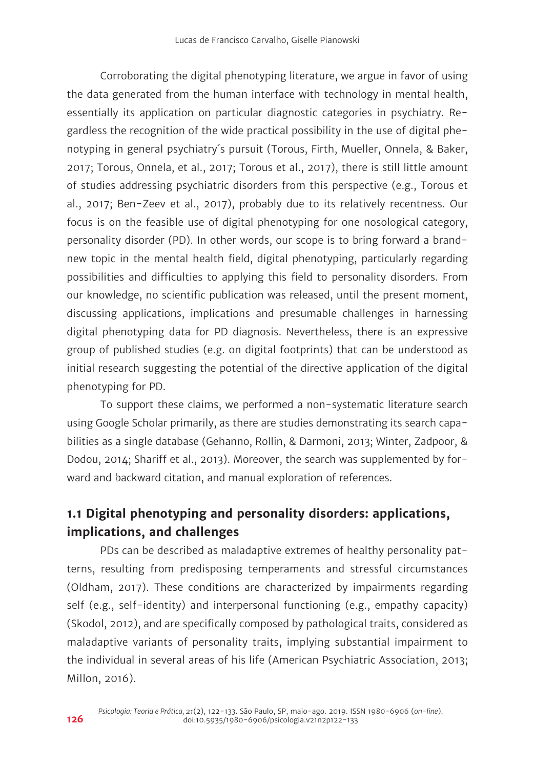Corroborating the digital phenotyping literature, we argue in favor of using the data generated from the human interface with technology in mental health, essentially its application on particular diagnostic categories in psychiatry. Regardless the recognition of the wide practical possibility in the use of digital phenotyping in general psychiatry´s pursuit (Torous, Firth, Mueller, Onnela, & Baker, 2017; Torous, Onnela, et al., 2017; Torous et al., 2017), there is still little amount of studies addressing psychiatric disorders from this perspective (e.g., Torous et al., 2017; Ben-Zeev et al., 2017), probably due to its relatively recentness. Our focus is on the feasible use of digital phenotyping for one nosological category, personality disorder (PD). In other words, our scope is to bring forward a brandnew topic in the mental health field, digital phenotyping, particularly regarding possibilities and difficulties to applying this field to personality disorders. From our knowledge, no scientific publication was released, until the present moment, discussing applications, implications and presumable challenges in harnessing digital phenotyping data for PD diagnosis. Nevertheless, there is an expressive group of published studies (e.g. on digital footprints) that can be understood as initial research suggesting the potential of the directive application of the digital phenotyping for PD.

To support these claims, we performed a non-systematic literature search using Google Scholar primarily, as there are studies demonstrating its search capabilities as a single database (Gehanno, Rollin, & Darmoni, 2013; Winter, Zadpoor, & Dodou, 2014; Shariff et al., 2013). Moreover, the search was supplemented by forward and backward citation, and manual exploration of references.

# **1.1 Digital phenotyping and personality disorders: applications, implications, and challenges**

PDs can be described as maladaptive extremes of healthy personality patterns, resulting from predisposing temperaments and stressful circumstances (Oldham, 2017). These conditions are characterized by impairments regarding self (e.g., self-identity) and interpersonal functioning (e.g., empathy capacity) (Skodol, 2012), and are specifically composed by pathological traits, considered as maladaptive variants of personality traits, implying substantial impairment to the individual in several areas of his life (American Psychiatric Association, 2013; Millon, 2016).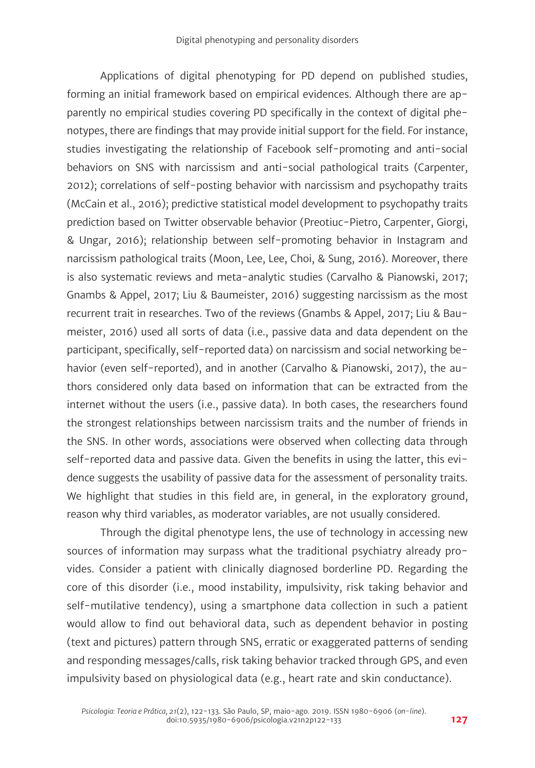Applications of digital phenotyping for PD depend on published studies, forming an initial framework based on empirical evidences. Although there are apparently no empirical studies covering PD specifically in the context of digital phenotypes, there are findings that may provide initial support for the field. For instance, studies investigating the relationship of Facebook self-promoting and anti-social behaviors on SNS with narcissism and anti-social pathological traits (Carpenter, 2012); correlations of self-posting behavior with narcissism and psychopathy traits (McCain et al., 2016); predictive statistical model development to psychopathy traits prediction based on Twitter observable behavior (Preotiuc-Pietro, Carpenter, Giorgi, & Ungar, 2016); relationship between self-promoting behavior in Instagram and narcissism pathological traits (Moon, Lee, Lee, Choi, & Sung, 2016). Moreover, there is also systematic reviews and meta-analytic studies (Carvalho & Pianowski, 2017; Gnambs & Appel, 2017; Liu & Baumeister, 2016) suggesting narcissism as the most recurrent trait in researches. Two of the reviews (Gnambs & Appel, 2017; Liu & Baumeister, 2016) used all sorts of data (i.e., passive data and data dependent on the participant, specifically, self-reported data) on narcissism and social networking behavior (even self-reported), and in another (Carvalho & Pianowski, 2017), the authors considered only data based on information that can be extracted from the internet without the users (i.e., passive data). In both cases, the researchers found the strongest relationships between narcissism traits and the number of friends in the SNS. In other words, associations were observed when collecting data through self-reported data and passive data. Given the benefits in using the latter, this evidence suggests the usability of passive data for the assessment of personality traits. We highlight that studies in this field are, in general, in the exploratory ground, reason why third variables, as moderator variables, are not usually considered.

Through the digital phenotype lens, the use of technology in accessing new sources of information may surpass what the traditional psychiatry already provides. Consider a patient with clinically diagnosed borderline PD. Regarding the core of this disorder (i.e., mood instability, impulsivity, risk taking behavior and self-mutilative tendency), using a smartphone data collection in such a patient would allow to find out behavioral data, such as dependent behavior in posting (text and pictures) pattern through SNS, erratic or exaggerated patterns of sending and responding messages/calls, risk taking behavior tracked through GPS, and even impulsivity based on physiological data (e.g., heart rate and skin conductance).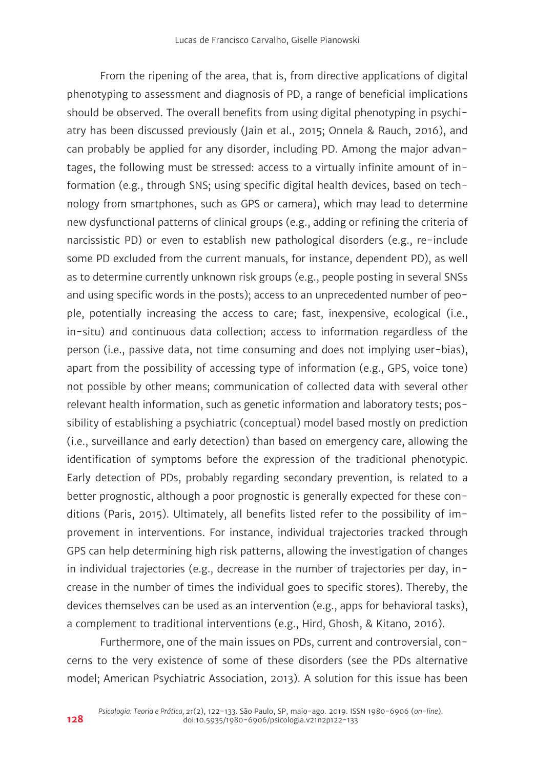From the ripening of the area, that is, from directive applications of digital phenotyping to assessment and diagnosis of PD, a range of beneficial implications should be observed. The overall benefits from using digital phenotyping in psychiatry has been discussed previously (Jain et al., 2015; Onnela & Rauch, 2016), and can probably be applied for any disorder, including PD. Among the major advantages, the following must be stressed: access to a virtually infinite amount of information (e.g., through SNS; using specific digital health devices, based on technology from smartphones, such as GPS or camera), which may lead to determine new dysfunctional patterns of clinical groups (e.g., adding or refining the criteria of narcissistic PD) or even to establish new pathological disorders (e.g., re-include some PD excluded from the current manuals, for instance, dependent PD), as well as to determine currently unknown risk groups (e.g., people posting in several SNSs and using specific words in the posts); access to an unprecedented number of people, potentially increasing the access to care; fast, inexpensive, ecological (i.e., in-situ) and continuous data collection; access to information regardless of the person (i.e., passive data, not time consuming and does not implying user-bias), apart from the possibility of accessing type of information (e.g., GPS, voice tone) not possible by other means; communication of collected data with several other relevant health information, such as genetic information and laboratory tests; possibility of establishing a psychiatric (conceptual) model based mostly on prediction (i.e., surveillance and early detection) than based on emergency care, allowing the identification of symptoms before the expression of the traditional phenotypic. Early detection of PDs, probably regarding secondary prevention, is related to a better prognostic, although a poor prognostic is generally expected for these conditions (Paris, 2015). Ultimately, all benefits listed refer to the possibility of improvement in interventions. For instance, individual trajectories tracked through GPS can help determining high risk patterns, allowing the investigation of changes in individual trajectories (e.g., decrease in the number of trajectories per day, increase in the number of times the individual goes to specific stores). Thereby, the devices themselves can be used as an intervention (e.g., apps for behavioral tasks), a complement to traditional interventions (e.g., Hird, Ghosh, & Kitano, 2016).

Furthermore, one of the main issues on PDs, current and controversial, concerns to the very existence of some of these disorders (see the PDs alternative model; American Psychiatric Association, 2013). A solution for this issue has been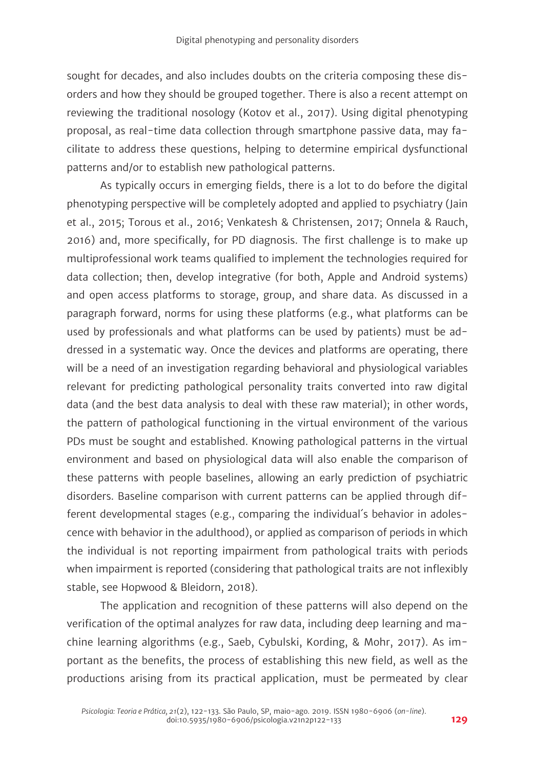sought for decades, and also includes doubts on the criteria composing these disorders and how they should be grouped together. There is also a recent attempt on reviewing the traditional nosology (Kotov et al., 2017). Using digital phenotyping proposal, as real-time data collection through smartphone passive data, may facilitate to address these questions, helping to determine empirical dysfunctional patterns and/or to establish new pathological patterns.

As typically occurs in emerging fields, there is a lot to do before the digital phenotyping perspective will be completely adopted and applied to psychiatry (Jain et al., 2015; Torous et al., 2016; Venkatesh & Christensen, 2017; Onnela & Rauch, 2016) and, more specifically, for PD diagnosis. The first challenge is to make up multiprofessional work teams qualified to implement the technologies required for data collection; then, develop integrative (for both, Apple and Android systems) and open access platforms to storage, group, and share data. As discussed in a paragraph forward, norms for using these platforms (e.g., what platforms can be used by professionals and what platforms can be used by patients) must be addressed in a systematic way. Once the devices and platforms are operating, there will be a need of an investigation regarding behavioral and physiological variables relevant for predicting pathological personality traits converted into raw digital data (and the best data analysis to deal with these raw material); in other words, the pattern of pathological functioning in the virtual environment of the various PDs must be sought and established. Knowing pathological patterns in the virtual environment and based on physiological data will also enable the comparison of these patterns with people baselines, allowing an early prediction of psychiatric disorders. Baseline comparison with current patterns can be applied through different developmental stages (e.g., comparing the individual´s behavior in adolescence with behavior in the adulthood), or applied as comparison of periods in which the individual is not reporting impairment from pathological traits with periods when impairment is reported (considering that pathological traits are not inflexibly stable, see Hopwood & Bleidorn, 2018).

The application and recognition of these patterns will also depend on the verification of the optimal analyzes for raw data, including deep learning and machine learning algorithms (e.g., Saeb, Cybulski, Kording, & Mohr, 2017). As important as the benefits, the process of establishing this new field, as well as the productions arising from its practical application, must be permeated by clear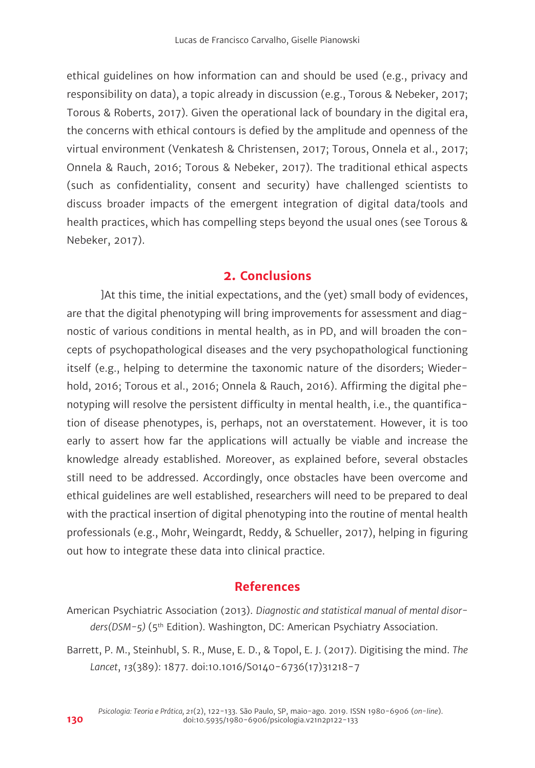ethical guidelines on how information can and should be used (e.g., privacy and responsibility on data), a topic already in discussion (e.g., Torous & Nebeker, 2017; Torous & Roberts, 2017). Given the operational lack of boundary in the digital era, the concerns with ethical contours is defied by the amplitude and openness of the virtual environment (Venkatesh & Christensen, 2017; Torous, Onnela et al., 2017; Onnela & Rauch, 2016; Torous & Nebeker, 2017). The traditional ethical aspects (such as confidentiality, consent and security) have challenged scientists to discuss broader impacts of the emergent integration of digital data/tools and health practices, which has compelling steps beyond the usual ones (see Torous & Nebeker, 2017).

## **2. Conclusions**

]At this time, the initial expectations, and the (yet) small body of evidences, are that the digital phenotyping will bring improvements for assessment and diagnostic of various conditions in mental health, as in PD, and will broaden the concepts of psychopathological diseases and the very psychopathological functioning itself (e.g., helping to determine the taxonomic nature of the disorders; Wiederhold, 2016; Torous et al., 2016; Onnela & Rauch, 2016). Affirming the digital phenotyping will resolve the persistent difficulty in mental health, i.e., the quantification of disease phenotypes, is, perhaps, not an overstatement. However, it is too early to assert how far the applications will actually be viable and increase the knowledge already established. Moreover, as explained before, several obstacles still need to be addressed. Accordingly, once obstacles have been overcome and ethical guidelines are well established, researchers will need to be prepared to deal with the practical insertion of digital phenotyping into the routine of mental health professionals (e.g., Mohr, Weingardt, Reddy, & Schueller, 2017), helping in figuring out how to integrate these data into clinical practice.

### **References**

American Psychiatric Association (2013). *Diagnostic and statistical manual of mental disorders(DSM-5)* (5th Edition). Washington, DC: American Psychiatry Association.

Barrett, P. M., Steinhubl, S. R., Muse, E. D., & Topol, E. J. (2017). Digitising the mind. *The Lancet*, *13*(389): 1877. doi:10.1016/S0140-6736(17)31218-7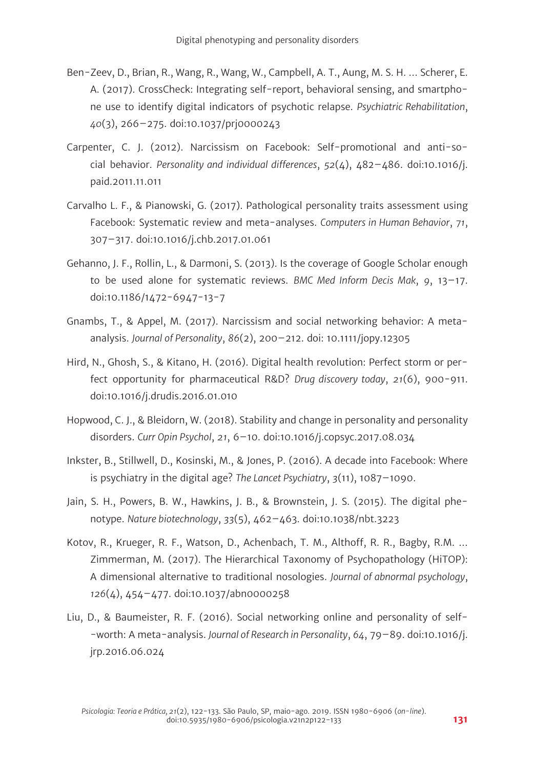- Ben-Zeev, D., Brian, R., Wang, R., Wang, W., Campbell, A. T., Aung, M. S. H. … Scherer, E. A. (2017). CrossCheck: Integrating self-report, behavioral sensing, and smartphone use to identify digital indicators of psychotic relapse. *Psychiatric Rehabilitation*, *40*(3), 266–275. doi:10.1037/prj0000243
- Carpenter, C. J. (2012). Narcissism on Facebook: Self-promotional and anti-social behavior. *Personality and individual differences*, *52*(4), 482–486. doi:10.1016/j. paid.2011.11.011
- Carvalho L. F., & Pianowski, G. (2017). Pathological personality traits assessment using Facebook: Systematic review and meta-analyses. *Computers in Human Behavior*, *71*, 307–317. doi:10.1016/j.chb.2017.01.061
- Gehanno, J. F., Rollin, L., & Darmoni, S. (2013). Is the coverage of Google Scholar enough to be used alone for systematic reviews. *BMC Med Inform Decis Mak*, *9*, 13–17. doi:10.1186/1472-6947-13-7
- Gnambs, T., & Appel, M. (2017). Narcissism and social networking behavior: A metaanalysis. *Journal of Personality*, *86*(2), 200–212. doi: 10.1111/jopy.12305
- Hird, N., Ghosh, S., & Kitano, H. (2016). Digital health revolution: Perfect storm or perfect opportunity for pharmaceutical R&D? *Drug discovery today*, *21*(6), 900-911. doi:10.1016/j.drudis.2016.01.010
- Hopwood, C. J., & Bleidorn, W. (2018). Stability and change in personality and personality disorders. *Curr Opin Psychol*, *21*, 6–10. doi:10.1016/j.copsyc.2017.08.034
- Inkster, B., Stillwell, D., Kosinski, M., & Jones, P. (2016). A decade into Facebook: Where is psychiatry in the digital age? *The Lancet Psychiatry*, *3*(11), 1087–1090.
- Jain, S. H., Powers, B. W., Hawkins, J. B., & Brownstein, J. S. (2015). The digital phenotype. *Nature biotechnology*, *33*(5), 462–463. doi:10.1038/nbt.3223
- Kotov, R., Krueger, R. F., Watson, D., Achenbach, T. M., Althoff, R. R., Bagby, R.M. … Zimmerman, M. (2017). The Hierarchical Taxonomy of Psychopathology (HiTOP): A dimensional alternative to traditional nosologies. *Journal of abnormal psychology*, *126*(4), 454–477. doi:10.1037/abn0000258
- Liu, D., & Baumeister, R. F. (2016). Social networking online and personality of self- -worth: A meta-analysis. *Journal of Research in Personality*, *64*, 79–89. doi:10.1016/j. jrp.2016.06.024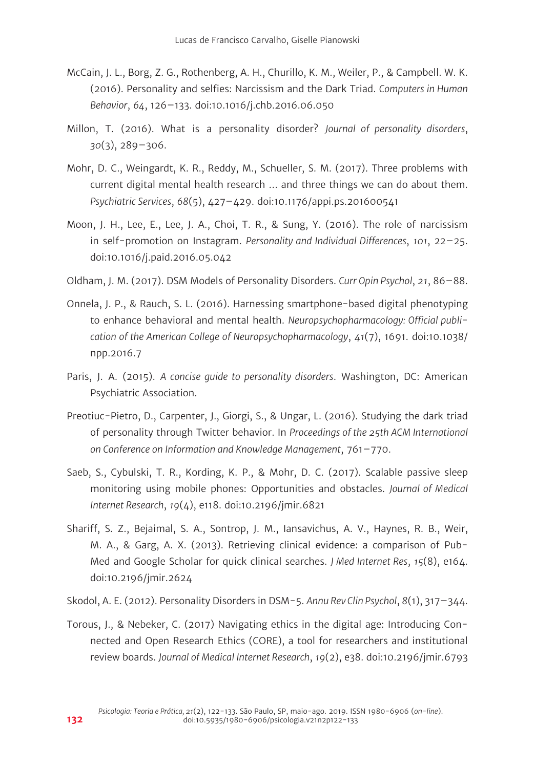- McCain, J. L., Borg, Z. G., Rothenberg, A. H., Churillo, K. M., Weiler, P., & Campbell. W. K. (2016). Personality and selfies: Narcissism and the Dark Triad. *Computers in Human Behavior*, *64*, 126–133. doi:10.1016/j.chb.2016.06.050
- Millon, T. (2016). What is a personality disorder? *Journal of personality disorders*, *30*(3), 289–306.
- Mohr, D. C., Weingardt, K. R., Reddy, M., Schueller, S. M. (2017). Three problems with current digital mental health research … and three things we can do about them. *Psychiatric Services*, *68*(5), 427–429. doi:10.1176/appi.ps.201600541
- Moon, J. H., Lee, E., Lee, J. A., Choi, T. R., & Sung, Y. (2016). The role of narcissism in self-promotion on Instagram. *Personality and Individual Differences*, *101*, 22–25. doi:10.1016/j.paid.2016.05.042
- Oldham, J. M. (2017). DSM Models of Personality Disorders. *Curr Opin Psychol*, *21*, 86–88.
- Onnela, J. P., & Rauch, S. L. (2016). Harnessing smartphone-based digital phenotyping to enhance behavioral and mental health. *Neuropsychopharmacology: Official publication of the American College of Neuropsychopharmacology*, *41*(7), 1691. doi:10.1038/ npp.2016.7
- Paris, J. A. (2015). *A concise guide to personality disorders*. Washington, DC: American Psychiatric Association.
- Preotiuc-Pietro, D., Carpenter, J., Giorgi, S., & Ungar, L. (2016). Studying the dark triad of personality through Twitter behavior. In *Proceedings of the 25th ACM International on Conference on Information and Knowledge Management*, 761–770.
- Saeb, S., Cybulski, T. R., Kording, K. P., & Mohr, D. C. (2017). Scalable passive sleep monitoring using mobile phones: Opportunities and obstacles. *Journal of Medical Internet Research*, *19*(4), e118. doi:10.2196/jmir.6821
- Shariff, S. Z., Bejaimal, S. A., Sontrop, J. M., Iansavichus, A. V., Haynes, R. B., Weir, M. A., & Garg, A. X. (2013). Retrieving clinical evidence: a comparison of Pub-Med and Google Scholar for quick clinical searches. *J Med Internet Res*, *15*(8), e164. doi:10.2196/jmir.2624
- Skodol, A. E. (2012). Personality Disorders in DSM-5. *Annu Rev Clin Psychol*, *8*(1), 317–344.
- Torous, J., & Nebeker, C. (2017) Navigating ethics in the digital age: Introducing Connected and Open Research Ethics (CORE), a tool for researchers and institutional review boards. *Journal of Medical Internet Research*, *19*(2), e38. doi:10.2196/jmir.6793